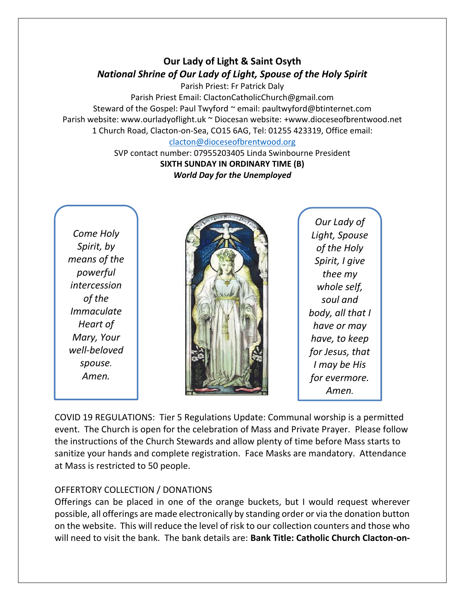# **Our Lady of Light & Saint Osyth** *National Shrine of Our Lady of Light, Spouse of the Holy Spirit*

Parish Priest: Fr Patrick Daly Parish Priest Email: ClactonCatholicChurch@gmail.com Steward of the Gospel: Paul Twyford ~ email: paultwyford@btinternet.com Parish website: www.ourladyoflight.uk ~ Diocesan website: +www.dioceseofbrentwood.net 1 Church Road, Clacton-on-Sea, CO15 6AG, Tel: 01255 423319, Office email:

### [clacton@dioceseofbrentwood.org](mailto:clacton@dioceseofbrentwood.org)

SVP contact number: 07955203405 Linda Swinbourne President **SIXTH SUNDAY IN ORDINARY TIME (B)** *World Day for the Unemployed*

*Come Holy Spirit, by means of the powerful intercession of the Immaculate Heart of Mary, Your well-beloved spouse. Amen.*



*Our Lady of Light, Spouse of the Holy Spirit, I give thee my whole self, soul and body, all that I have or may have, to keep for Jesus, that I may be His for evermore. Amen.*

COVID 19 REGULATIONS: Tier 5 Regulations Update: Communal worship is a permitted event. The Church is open for the celebration of Mass and Private Prayer. Please follow the instructions of the Church Stewards and allow plenty of time before Mass starts to sanitize your hands and complete registration. Face Masks are mandatory. Attendance at Mass is restricted to 50 people.

## OFFERTORY COLLECTION / DONATIONS

Offerings can be placed in one of the orange buckets, but I would request wherever possible, all offerings are made electronically by standing order or via the donation button on the website. This will reduce the level of risk to our collection counters and those who will need to visit the bank. The bank details are: **Bank Title: Catholic Church Clacton-on-**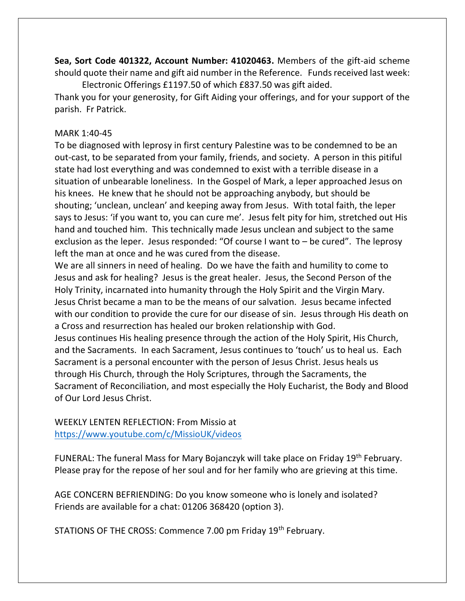**Sea, Sort Code 401322, Account Number: 41020463.** Members of the gift-aid scheme should quote their name and gift aid number in the Reference. Funds received last week: Electronic Offerings £1197.50 of which £837.50 was gift aided.

Thank you for your generosity, for Gift Aiding your offerings, and for your support of the parish. Fr Patrick.

## MARK 1:40-45

To be diagnosed with leprosy in first century Palestine was to be condemned to be an out-cast, to be separated from your family, friends, and society. A person in this pitiful state had lost everything and was condemned to exist with a terrible disease in a situation of unbearable loneliness. In the Gospel of Mark, a leper approached Jesus on his knees. He knew that he should not be approaching anybody, but should be shouting; 'unclean, unclean' and keeping away from Jesus. With total faith, the leper says to Jesus: 'if you want to, you can cure me'. Jesus felt pity for him, stretched out His hand and touched him. This technically made Jesus unclean and subject to the same exclusion as the leper. Jesus responded: "Of course I want to – be cured". The leprosy left the man at once and he was cured from the disease.

We are all sinners in need of healing. Do we have the faith and humility to come to Jesus and ask for healing? Jesus is the great healer. Jesus, the Second Person of the Holy Trinity, incarnated into humanity through the Holy Spirit and the Virgin Mary. Jesus Christ became a man to be the means of our salvation. Jesus became infected with our condition to provide the cure for our disease of sin. Jesus through His death on a Cross and resurrection has healed our broken relationship with God.

Jesus continues His healing presence through the action of the Holy Spirit, His Church, and the Sacraments. In each Sacrament, Jesus continues to 'touch' us to heal us. Each Sacrament is a personal encounter with the person of Jesus Christ. Jesus heals us through His Church, through the Holy Scriptures, through the Sacraments, the Sacrament of Reconciliation, and most especially the Holy Eucharist, the Body and Blood of Our Lord Jesus Christ.

WEEKLY LENTEN REFLECTION: From Missio at <https://www.youtube.com/c/MissioUK/videos>

FUNERAL: The funeral Mass for Mary Bojanczyk will take place on Friday 19<sup>th</sup> February. Please pray for the repose of her soul and for her family who are grieving at this time.

AGE CONCERN BEFRIENDING: Do you know someone who is lonely and isolated? Friends are available for a chat: 01206 368420 (option 3).

STATIONS OF THE CROSS: Commence 7.00 pm Friday 19<sup>th</sup> February.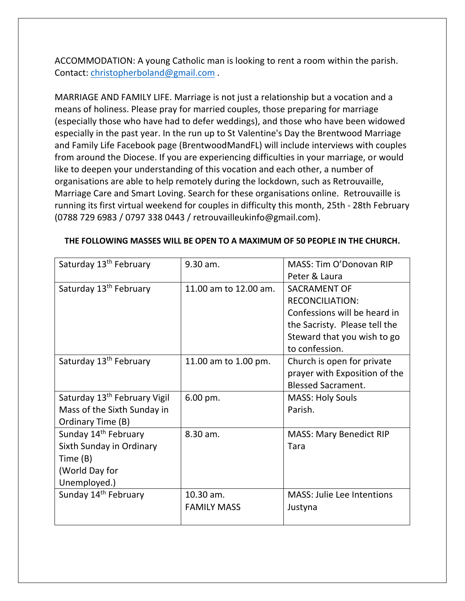ACCOMMODATION: A young Catholic man is looking to rent a room within the parish. Contact: [christopherboland@gmail.com](mailto:christopherboland@gmail.com) .

MARRIAGE AND FAMILY LIFE. Marriage is not just a relationship but a vocation and a means of holiness. Please pray for married couples, those preparing for marriage (especially those who have had to defer weddings), and those who have been widowed especially in the past year. In the run up to St Valentine's Day the Brentwood Marriage and Family Life Facebook page (BrentwoodMandFL) will include interviews with couples from around the Diocese. If you are experiencing difficulties in your marriage, or would like to deepen your understanding of this vocation and each other, a number of organisations are able to help remotely during the lockdown, such as Retrouvaille, Marriage Care and Smart Loving. Search for these organisations online. Retrouvaille is running its first virtual weekend for couples in difficulty this month, 25th - 28th February (0788 729 6983 / 0797 338 0443 / retrouvailleukinfo@gmail.com).

| Saturday 13 <sup>th</sup> February       | 9.30 am.               | MASS: Tim O'Donovan RIP           |
|------------------------------------------|------------------------|-----------------------------------|
|                                          |                        | Peter & Laura                     |
| Saturday 13 <sup>th</sup> February       | 11.00 am to 12.00 am.  | <b>SACRAMENT OF</b>               |
|                                          |                        | <b>RECONCILIATION:</b>            |
|                                          |                        | Confessions will be heard in      |
|                                          |                        | the Sacristy. Please tell the     |
|                                          |                        | Steward that you wish to go       |
|                                          |                        | to confession.                    |
| Saturday 13 <sup>th</sup> February       | 11.00 am to 1.00 pm.   | Church is open for private        |
|                                          |                        | prayer with Exposition of the     |
|                                          |                        | <b>Blessed Sacrament.</b>         |
| Saturday 13 <sup>th</sup> February Vigil | $6.00 \,\mathrm{pm}$ . | <b>MASS: Holy Souls</b>           |
| Mass of the Sixth Sunday in              |                        | Parish.                           |
| Ordinary Time (B)                        |                        |                                   |
| Sunday 14 <sup>th</sup> February         | 8.30 am.               | <b>MASS: Mary Benedict RIP</b>    |
| Sixth Sunday in Ordinary                 |                        | Tara                              |
| Time (B)                                 |                        |                                   |
| (World Day for                           |                        |                                   |
| Unemployed.)                             |                        |                                   |
| Sunday 14 <sup>th</sup> February         | 10.30 am.              | <b>MASS: Julie Lee Intentions</b> |
|                                          | <b>FAMILY MASS</b>     | Justyna                           |
|                                          |                        |                                   |

### **THE FOLLOWING MASSES WILL BE OPEN TO A MAXIMUM OF 50 PEOPLE IN THE CHURCH.**